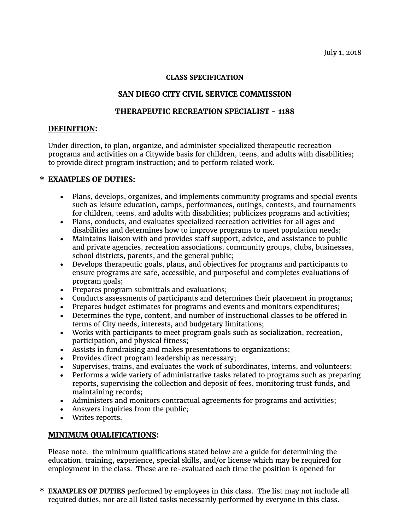#### **CLASS SPECIFICATION**

# **SAN DIEGO CITY CIVIL SERVICE COMMISSION**

### **THERAPEUTIC RECREATION SPECIALIST - 1188**

#### **DEFINITION:**

Under direction, to plan, organize, and administer specialized therapeutic recreation programs and activities on a Citywide basis for children, teens, and adults with disabilities; to provide direct program instruction; and to perform related work.

## **\* EXAMPLES OF DUTIES:**

- Plans, develops, organizes, and implements community programs and special events such as leisure education, camps, performances, outings, contests, and tournaments for children, teens, and adults with disabilities; publicizes programs and activities;
- Plans, conducts, and evaluates specialized recreation activities for all ages and disabilities and determines how to improve programs to meet population needs;
- Maintains liaison with and provides staff support, advice, and assistance to public and private agencies, recreation associations, community groups, clubs, businesses, school districts, parents, and the general public;
- Develops therapeutic goals, plans, and objectives for programs and participants to ensure programs are safe, accessible, and purposeful and completes evaluations of program goals;
- Prepares program submittals and evaluations;
- Conducts assessments of participants and determines their placement in programs;
- Prepares budget estimates for programs and events and monitors expenditures;
- Determines the type, content, and number of instructional classes to be offered in terms of City needs, interests, and budgetary limitations;
- Works with participants to meet program goals such as socialization, recreation, participation, and physical fitness;
- Assists in fundraising and makes presentations to organizations;
- Provides direct program leadership as necessary;
- Supervises, trains, and evaluates the work of subordinates, interns, and volunteers;
- Performs a wide variety of administrative tasks related to programs such as preparing reports, supervising the collection and deposit of fees, monitoring trust funds, and maintaining records;
- Administers and monitors contractual agreements for programs and activities;
- Answers inquiries from the public;
- Writes reports.

### **MINIMUM QUALIFICATIONS:**

Please note: the minimum qualifications stated below are a guide for determining the education, training, experience, special skills, and/or license which may be required for employment in the class. These are re-evaluated each time the position is opened for

**\* EXAMPLES OF DUTIES** performed by employees in this class. The list may not include all required duties, nor are all listed tasks necessarily performed by everyone in this class.